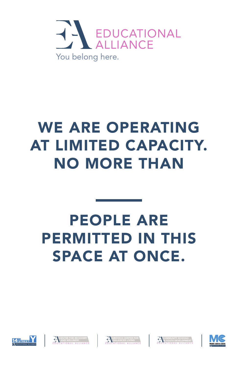











### WE ARE OPERATING AT LIMITED CAPACITY. NO MORE THAN

#### PEOPLE ARE PERMITTED IN THIS SPACE AT ONCE.

 $\frac{1}{2}$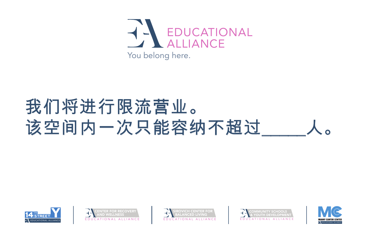







## 我们将进行限流营业。 该空间内一次只能容纳不超过